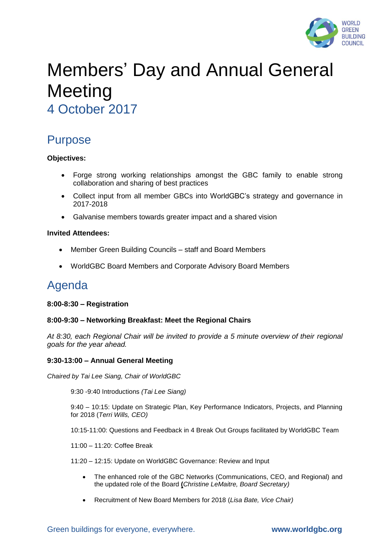

# Members' Day and Annual General **Meeting**

4 October 2017

# Purpose

# **Objectives:**

- Forge strong working relationships amongst the GBC family to enable strong collaboration and sharing of best practices
- Collect input from all member GBCs into WorldGBC's strategy and governance in 2017-2018
- Galvanise members towards greater impact and a shared vision

# **Invited Attendees:**

- Member Green Building Councils staff and Board Members
- WorldGBC Board Members and Corporate Advisory Board Members

# Agenda

## **8:00-8:30 – Registration**

## **8:00-9:30 – Networking Breakfast: Meet the Regional Chairs**

*At 8:30, each Regional Chair will be invited to provide a 5 minute overview of their regional goals for the year ahead.* 

## **9:30-13:00 – Annual General Meeting**

*Chaired by Tai Lee Siang, Chair of WorldGBC* 

9:30 -9:40 Introductions *(Tai Lee Siang)*

9:40 – 10:15: Update on Strategic Plan, Key Performance Indicators, Projects, and Planning for 2018 (*Terri Wills, CEO)*

10:15-11:00: Questions and Feedback in 4 Break Out Groups facilitated by WorldGBC Team

11:00 – 11:20: Coffee Break

11:20 – 12:15: Update on WorldGBC Governance: Review and Input

- The enhanced role of the GBC Networks (Communications, CEO, and Regional) and the updated role of the Board **(***Christine LeMaitre, Board Secretary)*
- Recruitment of New Board Members for 2018 (*Lisa Bate, Vice Chair)*